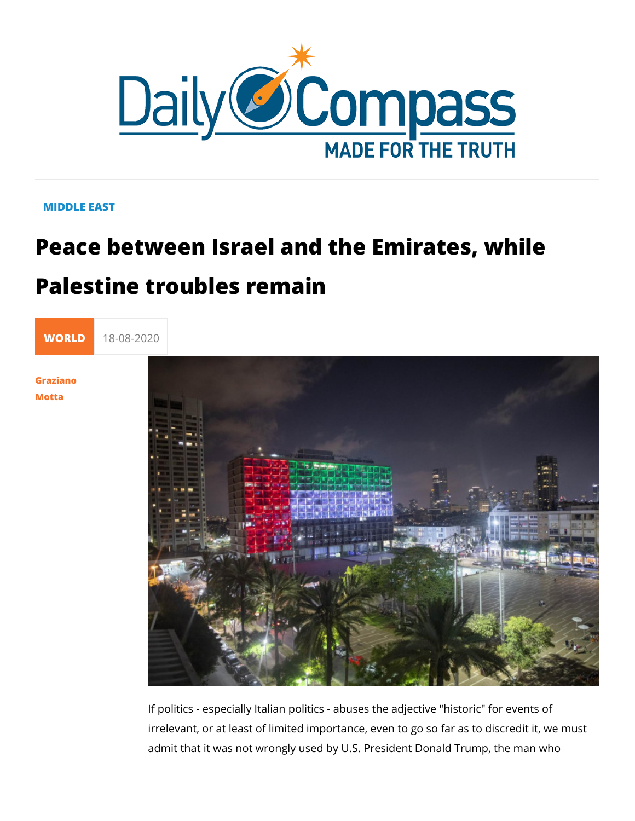## MIDDLE EAST

## Peace between Israel and the Emirates Palestine troubles remain

[WORL](https://newdailycompass.com/en/world)I 18-08-2020

[Grazia](/en/graziano-motta)no [Mott](/en/graziano-motta)a

> If politics - especially Italian politics - abuses the adjective " irrelevant, or at least of limited importance, even to go so far admit that it was not wrongly used by U.S. President Donald T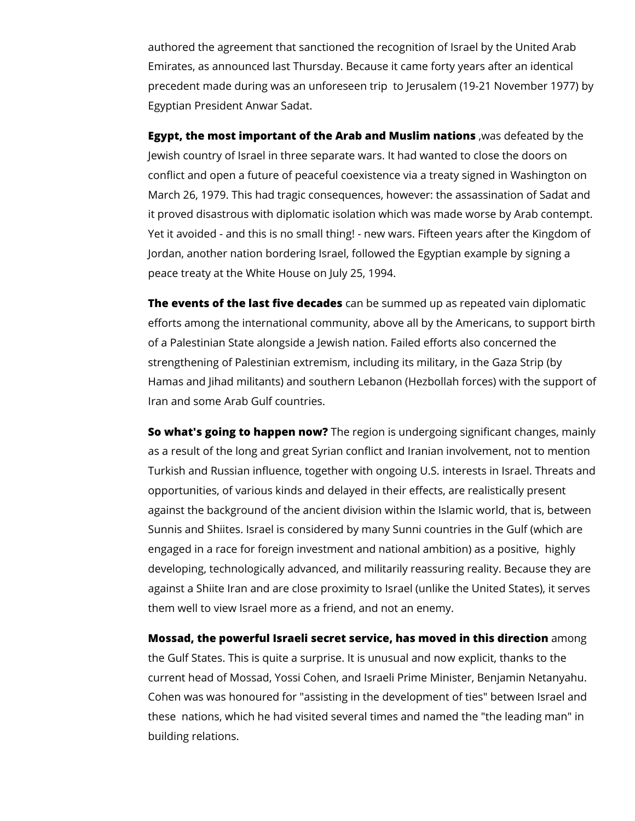authored the agreement that sanctioned the recognition of Israel by the United Arab Emirates, as announced last Thursday. Because it came forty years after an identical precedent made during was an unforeseen trip to Jerusalem (19-21 November 1977) by Egyptian President Anwar Sadat.

**Egypt, the most important of the Arab and Muslim nations** ,was defeated by the Jewish country of Israel in three separate wars. It had wanted to close the doors on conflict and open a future of peaceful coexistence via a treaty signed in Washington on March 26, 1979. This had tragic consequences, however: the assassination of Sadat and it proved disastrous with diplomatic isolation which was made worse by Arab contempt. Yet it avoided - and this is no small thing! - new wars. Fifteen years after the Kingdom of Jordan, another nation bordering Israel, followed the Egyptian example by signing a peace treaty at the White House on July 25, 1994.

**The events of the last five decades** can be summed up as repeated vain diplomatic efforts among the international community, above all by the Americans, to support birth of a Palestinian State alongside a Jewish nation. Failed efforts also concerned the strengthening of Palestinian extremism, including its military, in the Gaza Strip (by Hamas and Jihad militants) and southern Lebanon (Hezbollah forces) with the support of Iran and some Arab Gulf countries.

**So what's going to happen now?** The region is undergoing significant changes, mainly as a result of the long and great Syrian conflict and Iranian involvement, not to mention Turkish and Russian influence, together with ongoing U.S. interests in Israel. Threats and opportunities, of various kinds and delayed in their effects, are realistically present against the background of the ancient division within the Islamic world, that is, between Sunnis and Shiites. Israel is considered by many Sunni countries in the Gulf (which are engaged in a race for foreign investment and national ambition) as a positive, highly developing, technologically advanced, and militarily reassuring reality. Because they are against a Shiite Iran and are close proximity to Israel (unlike the United States), it serves them well to view Israel more as a friend, and not an enemy.

**Mossad, the powerful Israeli secret service, has moved in this direction** among the Gulf States. This is quite a surprise. It is unusual and now explicit, thanks to the current head of Mossad, Yossi Cohen, and Israeli Prime Minister, Benjamin Netanyahu. Cohen was was honoured for "assisting in the development of ties" between Israel and these nations, which he had visited several times and named the "the leading man" in building relations.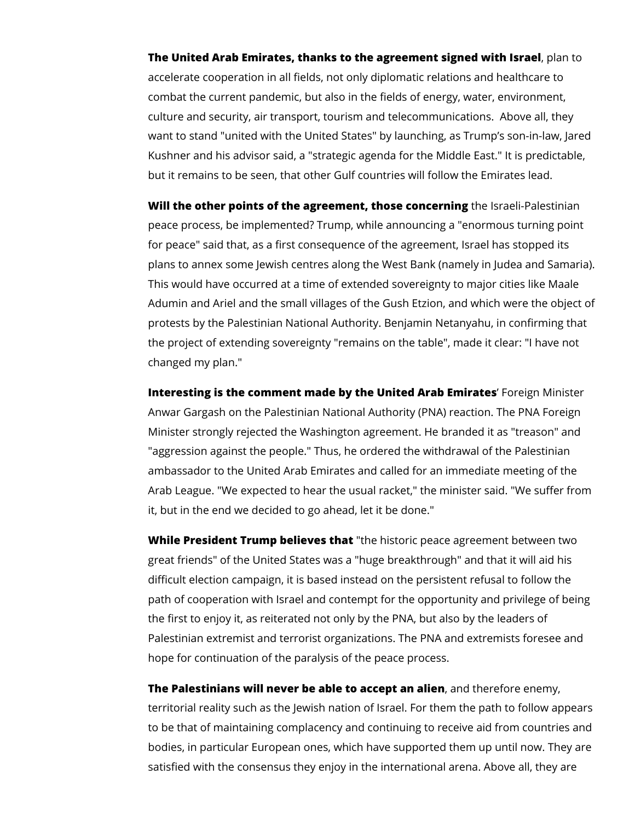**The United Arab Emirates, thanks to the agreement signed with Israel**, plan to accelerate cooperation in all fields, not only diplomatic relations and healthcare to combat the current pandemic, but also in the fields of energy, water, environment, culture and security, air transport, tourism and telecommunications. Above all, they want to stand "united with the United States" by launching, as Trump's son-in-law, Jared Kushner and his advisor said, a "strategic agenda for the Middle East." It is predictable, but it remains to be seen, that other Gulf countries will follow the Emirates lead.

**Will the other points of the agreement, those concerning** the Israeli-Palestinian peace process, be implemented? Trump, while announcing a "enormous turning point for peace" said that, as a first consequence of the agreement, Israel has stopped its plans to annex some Jewish centres along the West Bank (namely in Judea and Samaria). This would have occurred at a time of extended sovereignty to major cities like Maale Adumin and Ariel and the small villages of the Gush Etzion, and which were the object of protests by the Palestinian National Authority. Benjamin Netanyahu, in confirming that the project of extending sovereignty "remains on the table", made it clear: "I have not changed my plan."

**Interesting is the comment made by the United Arab Emirates**' Foreign Minister Anwar Gargash on the Palestinian National Authority (PNA) reaction. The PNA Foreign Minister strongly rejected the Washington agreement. He branded it as "treason" and "aggression against the people." Thus, he ordered the withdrawal of the Palestinian ambassador to the United Arab Emirates and called for an immediate meeting of the Arab League. "We expected to hear the usual racket," the minister said. "We suffer from it, but in the end we decided to go ahead, let it be done."

**While President Trump believes that** "the historic peace agreement between two great friends" of the United States was a "huge breakthrough" and that it will aid his difficult election campaign, it is based instead on the persistent refusal to follow the path of cooperation with Israel and contempt for the opportunity and privilege of being the first to enjoy it, as reiterated not only by the PNA, but also by the leaders of Palestinian extremist and terrorist organizations. The PNA and extremists foresee and hope for continuation of the paralysis of the peace process.

**The Palestinians will never be able to accept an alien**, and therefore enemy, territorial reality such as the Jewish nation of Israel. For them the path to follow appears to be that of maintaining complacency and continuing to receive aid from countries and bodies, in particular European ones, which have supported them up until now. They are satisfied with the consensus they enjoy in the international arena. Above all, they are